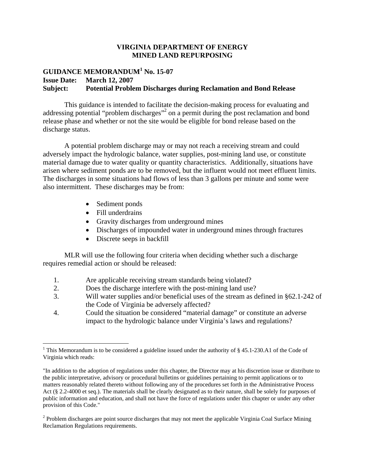## **VIRGINIA DEPARTMENT OF ENERGY MINED LAND REPURPOSING**

# **GUIDANCE MEMORANDUM<sup>1</sup> No. 15-07 Issue Date: March 12, 2007 Subject: Potential Problem Discharges during Reclamation and Bond Release**

This guidance is intended to facilitate the decision-making process for evaluating and addressing potential "problem discharges"<sup>2</sup> on a permit during the post reclamation and bond release phase and whether or not the site would be eligible for bond release based on the discharge status.

A potential problem discharge may or may not reach a receiving stream and could adversely impact the hydrologic balance, water supplies, post-mining land use, or constitute material damage due to water quality or quantity characteristics. Additionally, situations have arisen where sediment ponds are to be removed, but the influent would not meet effluent limits. The discharges in some situations had flows of less than 3 gallons per minute and some were also intermittent. These discharges may be from:

- Sediment ponds
- Fill underdrains
- Gravity discharges from underground mines
- Discharges of impounded water in underground mines through fractures
- Discrete seeps in backfill

MLR will use the following four criteria when deciding whether such a discharge requires remedial action or should be released:

- 1. Are applicable receiving stream standards being violated?
- 2. Does the discharge interfere with the post-mining land use?
- 3. Will water supplies and/or beneficial uses of the stream as defined in §62.1-242 of the Code of Virginia be adversely affected?
- 4. Could the situation be considered "material damage" or constitute an adverse impact to the hydrologic balance under Virginia's laws and regulations?

<sup>&</sup>lt;sup>1</sup> This Memorandum is to be considered a guideline issued under the authority of  $\S$  45.1-230.A1 of the Code of Virginia which reads:

<sup>&</sup>quot;In addition to the adoption of regulations under this chapter, the Director may at his discretion issue or distribute to the public interpretative, advisory or procedural bulletins or guidelines pertaining to permit applications or to matters reasonably related thereto without following any of the procedures set forth in the Administrative Process Act (§ 2.2-4000 et seq.). The materials shall be clearly designated as to their nature, shall be solely for purposes of public information and education, and shall not have the force of regulations under this chapter or under any other provision of this Code."

 $2$  Problem discharges are point source discharges that may not meet the applicable Virginia Coal Surface Mining Reclamation Regulations requirements.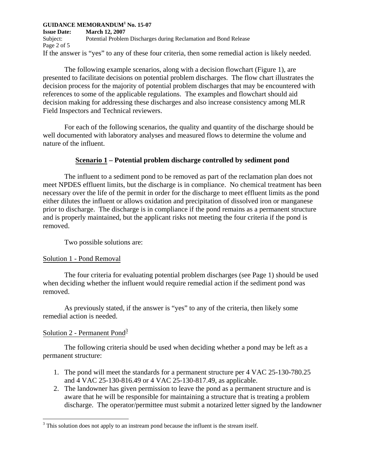**Issue Date: March 12, 2007**  Subject: Potential Problem Discharges during Reclamation and Bond Release Page 2 of 5 If the answer is "yes" to any of these four criteria, then some remedial action is likely needed.

The following example scenarios, along with a decision flowchart (Figure 1), are presented to facilitate decisions on potential problem discharges. The flow chart illustrates the decision process for the majority of potential problem discharges that may be encountered with references to some of the applicable regulations. The examples and flowchart should aid decision making for addressing these discharges and also increase consistency among MLR Field Inspectors and Technical reviewers.

For each of the following scenarios, the quality and quantity of the discharge should be well documented with laboratory analyses and measured flows to determine the volume and nature of the influent.

## **Scenario 1 – Potential problem discharge controlled by sediment pond**

The influent to a sediment pond to be removed as part of the reclamation plan does not meet NPDES effluent limits, but the discharge is in compliance. No chemical treatment has been necessary over the life of the permit in order for the discharge to meet effluent limits as the pond either dilutes the influent or allows oxidation and precipitation of dissolved iron or manganese prior to discharge. The discharge is in compliance if the pond remains as a permanent structure and is properly maintained, but the applicant risks not meeting the four criteria if the pond is removed.

Two possible solutions are:

## Solution 1 - Pond Removal

The four criteria for evaluating potential problem discharges (see Page 1) should be used when deciding whether the influent would require remedial action if the sediment pond was removed.

As previously stated, if the answer is "yes" to any of the criteria, then likely some remedial action is needed.

## Solution 2 - Permanent Pond<sup>3</sup>

The following criteria should be used when deciding whether a pond may be left as a permanent structure:

- 1. The pond will meet the standards for a permanent structure per 4 VAC 25-130-780.25 and 4 VAC 25-130-816.49 or 4 VAC 25-130-817.49, as applicable.
- 2. The landowner has given permission to leave the pond as a permanent structure and is aware that he will be responsible for maintaining a structure that is treating a problem discharge. The operator/permittee must submit a notarized letter signed by the landowner

 $3$  This solution does not apply to an instream pond because the influent is the stream itself.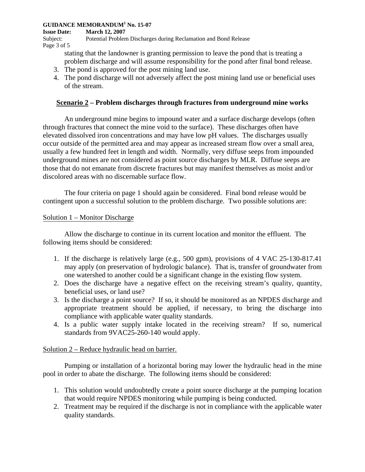**Issue Date: March 12, 2007** 

Subject: Potential Problem Discharges during Reclamation and Bond Release Page 3 of 5

stating that the landowner is granting permission to leave the pond that is treating a problem discharge and will assume responsibility for the pond after final bond release.

- 3. The pond is approved for the post mining land use.
- 4. The pond discharge will not adversely affect the post mining land use or beneficial uses of the stream.

## **Scenario 2 – Problem discharges through fractures from underground mine works**

An underground mine begins to impound water and a surface discharge develops (often through fractures that connect the mine void to the surface). These discharges often have elevated dissolved iron concentrations and may have low pH values. The discharges usually occur outside of the permitted area and may appear as increased stream flow over a small area, usually a few hundred feet in length and width. Normally, very diffuse seeps from impounded underground mines are not considered as point source discharges by MLR. Diffuse seeps are those that do not emanate from discrete fractures but may manifest themselves as moist and/or discolored areas with no discernable surface flow.

The four criteria on page 1 should again be considered. Final bond release would be contingent upon a successful solution to the problem discharge. Two possible solutions are:

## Solution 1 – Monitor Discharge

Allow the discharge to continue in its current location and monitor the effluent. The following items should be considered:

- 1. If the discharge is relatively large (e.g., 500 gpm), provisions of 4 VAC 25-130-817.41 may apply (on preservation of hydrologic balance). That is, transfer of groundwater from one watershed to another could be a significant change in the existing flow system.
- 2. Does the discharge have a negative effect on the receiving stream's quality, quantity, beneficial uses, or land use?
- 3. Is the discharge a point source? If so, it should be monitored as an NPDES discharge and appropriate treatment should be applied, if necessary, to bring the discharge into compliance with applicable water quality standards.
- 4. Is a public water supply intake located in the receiving stream? If so, numerical standards from 9VAC25-260-140 would apply.

## Solution 2 – Reduce hydraulic head on barrier.

Pumping or installation of a horizontal boring may lower the hydraulic head in the mine pool in order to abate the discharge. The following items should be considered:

- 1. This solution would undoubtedly create a point source discharge at the pumping location that would require NPDES monitoring while pumping is being conducted.
- 2. Treatment may be required if the discharge is not in compliance with the applicable water quality standards.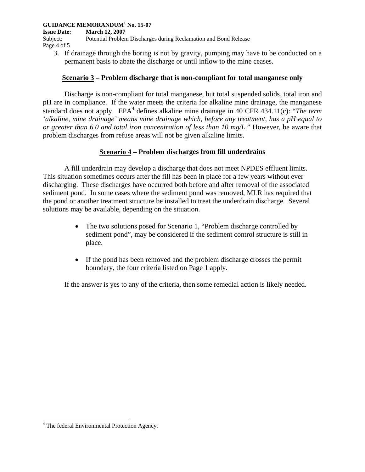**Issue Date: March 12, 2007** 

Subject: Potential Problem Discharges during Reclamation and Bond Release Page 4 of 5

3. If drainage through the boring is not by gravity, pumping may have to be conducted on a permanent basis to abate the discharge or until inflow to the mine ceases.

## **Scenario 3 – Problem discharge that is non-compliant for total manganese only**

Discharge is non-compliant for total manganese, but total suspended solids, total iron and pH are in compliance. If the water meets the criteria for alkaline mine drainage, the manganese standard does not apply. EPA<sup>4</sup> defines alkaline mine drainage in 40 CFR 434.11(c): "*The term 'alkaline, mine drainage' means mine drainage which, before any treatment, has a pH equal to or greater than 6.0 and total iron concentration of less than 10 mg/L*." However, be aware that problem discharges from refuse areas will not be given alkaline limits.

## **Scenario 4 – Problem discharges from fill underdrains**

A fill underdrain may develop a discharge that does not meet NPDES effluent limits. This situation sometimes occurs after the fill has been in place for a few years without ever discharging. These discharges have occurred both before and after removal of the associated sediment pond. In some cases where the sediment pond was removed, MLR has required that the pond or another treatment structure be installed to treat the underdrain discharge. Several solutions may be available, depending on the situation.

- The two solutions posed for Scenario 1, "Problem discharge controlled by sediment pond", may be considered if the sediment control structure is still in place.
- If the pond has been removed and the problem discharge crosses the permit boundary, the four criteria listed on Page 1 apply.

If the answer is yes to any of the criteria, then some remedial action is likely needed.

<sup>&</sup>lt;sup>4</sup> The federal Environmental Protection Agency.